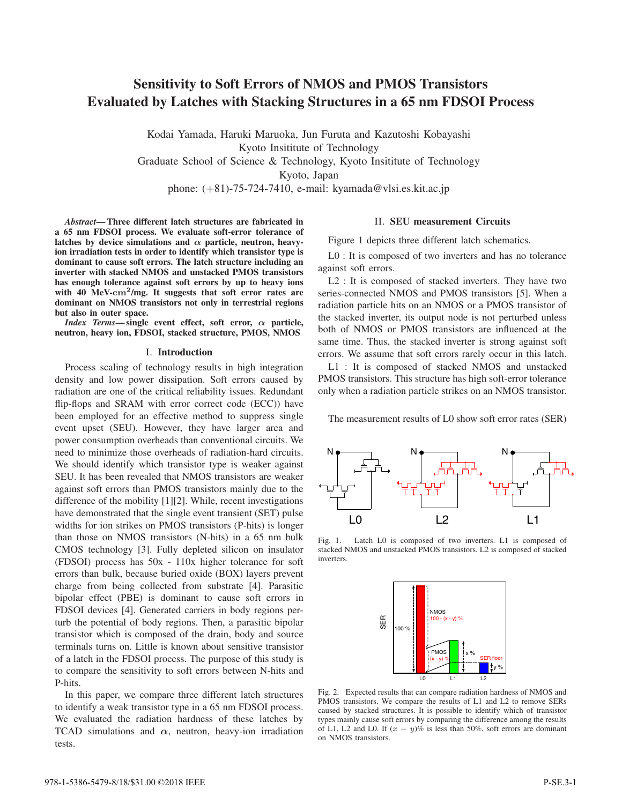# **Sensitivity to Soft Errors of NMOS and PMOS Transistors Evaluated by Latches with Stacking Structures in a 65 nm FDSOI Process**

Kodai Yamada, Haruki Maruoka, Jun Furuta and Kazutoshi Kobayashi Kyoto Insititute of Technology Graduate School of Science & Technology, Kyoto Insititute of Technology Kyoto, Japan phone: (+81)-75-724-7410, e-mail: kyamada@vlsi.es.kit.ac.jp

*Abstract***— Three different latch structures are fabricated in a 65 nm FDSOI process. We evaluate soft-error tolerance of** latches by device simulations and  $\alpha$  particle, neutron, heavy**ion irradiation tests in order to identify which transistor type is dominant to cause soft errors. The latch structure including an inverter with stacked NMOS and unstacked PMOS transistors has enough tolerance against soft errors by up to heavy ions with 40 MeV-cm<sup>2</sup>/mg. It suggests that soft error rates are dominant on NMOS transistors not only in terrestrial regions but also in outer space.**

*Index Terms*—single event effect, soft error,  $\alpha$  particle, **neutron, heavy ion, FDSOI, stacked structure, PMOS, NMOS**

### I. **Introduction**

Process scaling of technology results in high integration density and low power dissipation. Soft errors caused by radiation are one of the critical reliability issues. Redundant flip-flops and SRAM with error correct code (ECC)) have been employed for an effective method to suppress single event upset (SEU). However, they have larger area and power consumption overheads than conventional circuits. We need to minimize those overheads of radiation-hard circuits. We should identify which transistor type is weaker against SEU. It has been revealed that NMOS transistors are weaker against soft errors than PMOS transistors mainly due to the difference of the mobility [1][2]. While, recent investigations have demonstrated that the single event transient (SET) pulse widths for ion strikes on PMOS transistors (P-hits) is longer than those on NMOS transistors (N-hits) in a 65 nm bulk CMOS technology [3]. Fully depleted silicon on insulator (FDSOI) process has 50x - 110x higher tolerance for soft errors than bulk, because buried oxide (BOX) layers prevent charge from being collected from substrate [4]. Parasitic bipolar effect (PBE) is dominant to cause soft errors in FDSOI devices [4]. Generated carriers in body regions perturb the potential of body regions. Then, a parasitic bipolar transistor which is composed of the drain, body and source terminals turns on. Little is known about sensitive transistor of a latch in the FDSOI process. The purpose of this study is to compare the sensitivity to soft errors between N-hits and P-hits.

In this paper, we compare three different latch structures to identify a weak transistor type in a 65 nm FDSOI process. We evaluated the radiation hardness of these latches by TCAD simulations and  $\alpha$ , neutron, heavy-ion irradiation tests.

### II. **SEU measurement Circuits**

Figure 1 depicts three different latch schematics.

L0 : It is composed of two inverters and has no tolerance against soft errors.

L2 : It is composed of stacked inverters. They have two series-connected NMOS and PMOS transistors [5]. When a radiation particle hits on an NMOS or a PMOS transistor of the stacked inverter, its output node is not perturbed unless both of NMOS or PMOS transistors are influenced at the same time. Thus, the stacked inverter is strong against soft errors. We assume that soft errors rarely occur in this latch.

L1 : It is composed of stacked NMOS and unstacked PMOS transistors. This structure has high soft-error tolerance only when a radiation particle strikes on an NMOS transistor.

The measurement results of L0 show soft error rates (SER)



Fig. 1. Latch L0 is composed of two inverters. L1 is composed of stacked NMOS and unstacked PMOS transistors. L2 is composed of stacked inverters.



Fig. 2. Expected results that can compare radiation hardness of NMOS and PMOS transistors. We compare the results of L1 and L2 to remove SERs caused by stacked structures. It is possible to identify which of transistor types mainly cause soft errors by comparing the difference among the results of L1, L2 and L0. If  $(x - y)$ % is less than 50%, soft errors are dominant on NMOS transistors.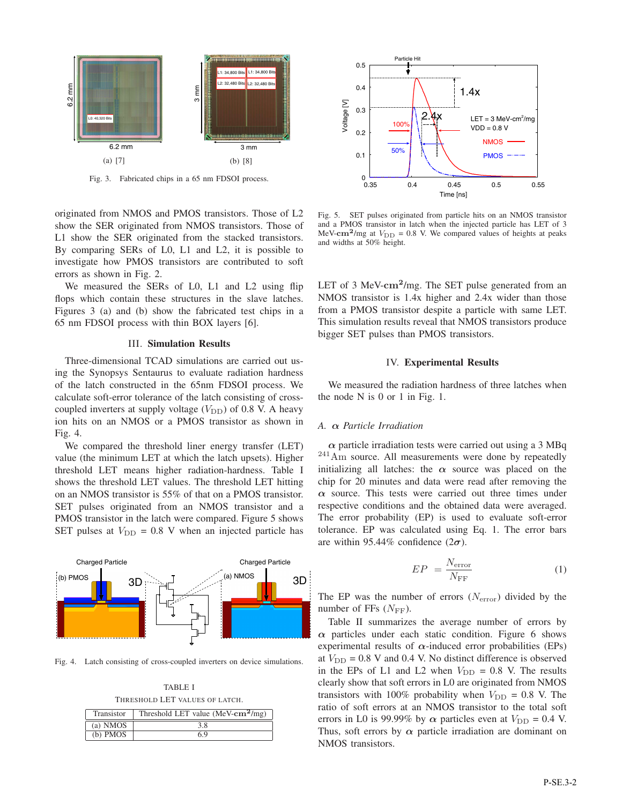

Fig. 3. Fabricated chips in a 65 nm FDSOI process.

originated from NMOS and PMOS transistors. Those of L2 show the SER originated from NMOS transistors. Those of L1 show the SER originated from the stacked transistors. By comparing SERs of L0, L1 and L2, it is possible to investigate how PMOS transistors are contributed to soft errors as shown in Fig. 2.

We measured the SERs of L0, L1 and L2 using flip flops which contain these structures in the slave latches. Figures 3 (a) and (b) show the fabricated test chips in a 65 nm FDSOI process with thin BOX layers [6].

### III. **Simulation Results**

Three-dimensional TCAD simulations are carried out using the Synopsys Sentaurus to evaluate radiation hardness of the latch constructed in the 65nm FDSOI process. We calculate soft-error tolerance of the latch consisting of crosscoupled inverters at supply voltage  $(V_{\text{DD}})$  of 0.8 V. A heavy ion hits on an NMOS or a PMOS transistor as shown in Fig. 4.

We compared the threshold liner energy transfer (LET) value (the minimum LET at which the latch upsets). Higher threshold LET means higher radiation-hardness. Table I shows the threshold LET values. The threshold LET hitting on an NMOS transistor is 55% of that on a PMOS transistor. SET pulses originated from an NMOS transistor and a PMOS transistor in the latch were compared. Figure 5 shows SET pulses at  $V_{\text{DD}} = 0.8$  V when an injected particle has



Fig. 4. Latch consisting of cross-coupled inverters on device simulations.

TABLE I THRESHOLD LET VALUES OF LATCH.

| Transistor | Threshold LET value (MeV- $\text{cm}^2/\text{mg}$ ) |
|------------|-----------------------------------------------------|
| (a) NMOS   | 3.8                                                 |
| $(b)$ PMOS | 69                                                  |



Fig. 5. SET pulses originated from particle hits on an NMOS transistor and a PMOS transistor in latch when the injected particle has LET of 3 MeV- $\text{cm}^2/\text{mg}$  at  $V_{\text{DD}} = 0.8$  V. We compared values of heights at peaks and widths at 50% height.

LET of 3 MeV-**cm<sup>2</sup>**/mg. The SET pulse generated from an NMOS transistor is 1.4x higher and 2.4x wider than those from a PMOS transistor despite a particle with same LET. This simulation results reveal that NMOS transistors produce bigger SET pulses than PMOS transistors.

## IV. **Experimental Results**

We measured the radiation hardness of three latches when the node N is 0 or 1 in Fig. 1.

#### *A. Particle Irradiation*

 $\alpha$  particle irradiation tests were carried out using a 3 MBq <sup>241</sup>Am source. All measurements were done by repeatedly initializing all latches: the  $\alpha$  source was placed on the chip for 20 minutes and data were read after removing the  $\alpha$  source. This tests were carried out three times under respective conditions and the obtained data were averaged. The error probability (EP) is used to evaluate soft-error tolerance. EP was calculated using Eq. 1. The error bars are within 95.44% confidence  $(2\sigma)$ .

$$
EP = \frac{N_{\text{error}}}{N_{\text{FF}}} \tag{1}
$$

The EP was the number of errors  $(N_{\text{error}})$  divided by the number of FFs  $(N_{\text{FF}})$ .

Table II summarizes the average number of errors by  $\alpha$  particles under each static condition. Figure 6 shows experimental results of  $\alpha$ -induced error probabilities (EPs) at  $V_{\text{DD}} = 0.8$  V and 0.4 V. No distinct difference is observed in the EPs of L1 and L2 when  $V_{\text{DD}} = 0.8$  V. The results clearly show that soft errors in L0 are originated from NMOS transistors with 100% probability when  $V_{\text{DD}} = 0.8$  V. The ratio of soft errors at an NMOS transistor to the total soft errors in L0 is 99.99% by  $\alpha$  particles even at  $V_{\text{DD}} = 0.4$  V. Thus, soft errors by  $\alpha$  particle irradiation are dominant on NMOS transistors.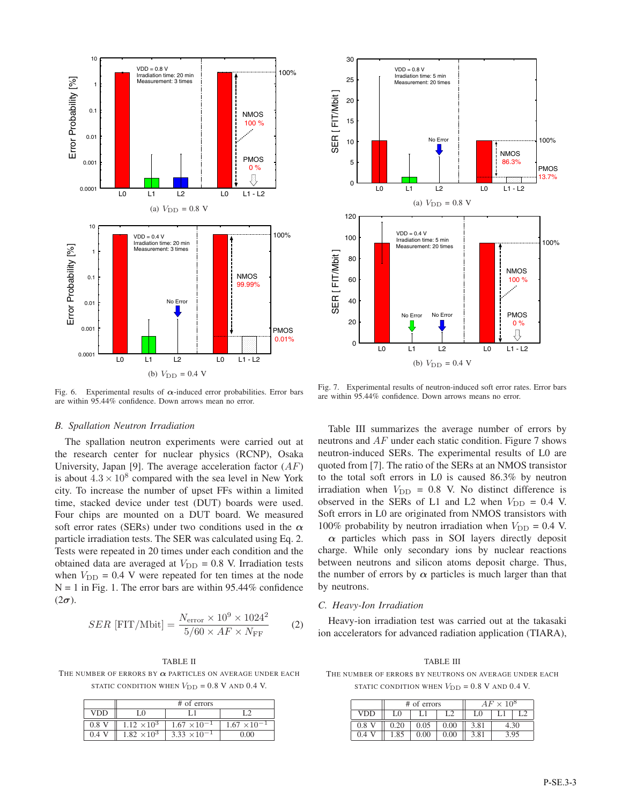

Fig. 6. Experimental results of  $\alpha$ -induced error probabilities. Error bars are within 95.44% confidence. Down arrows mean no error.

#### *B. Spallation Neutron Irradiation*

The spallation neutron experiments were carried out at the research center for nuclear physics (RCNP), Osaka University, Japan [9]. The average acceleration factor  $(AF)$ is about  $4.3 \times 10^8$  compared with the sea level in New York city. To increase the number of upset FFs within a limited time, stacked device under test (DUT) boards were used. Four chips are mounted on a DUT board. We measured soft error rates (SERs) under two conditions used in the  $\alpha$ particle irradiation tests. The SER was calculated using Eq. 2. Tests were repeated in 20 times under each condition and the obtained data are averaged at  $V_{\text{DD}} = 0.8$  V. Irradiation tests when  $V_{\text{DD}} = 0.4$  V were repeated for ten times at the node  $N = 1$  in Fig. 1. The error bars are within 95.44% confidence  $(2\sigma)$ .

$$
SER \text{ [FIT/Mbit]} = \frac{N_{\text{error}} \times 10^9 \times 1024^2}{5/60 \times AF \times N_{\text{FF}}} \tag{2}
$$

#### TABLE II

THE NUMBER OF ERRORS BY  $\alpha$  particles on average under each STATIC CONDITION WHEN  $V_{\text{DD}} = 0.8$  V AND 0.4 V.

|         | # of errors          |                       |                       |  |
|---------|----------------------|-----------------------|-----------------------|--|
| VDD     | ſΛ                   |                       |                       |  |
| $0.8$ V | $1.12 \times 10^{3}$ | $1.67 \times 10^{-1}$ | $1.67 \times 10^{-1}$ |  |
| 0.4     | $1.82 \times 10^{3}$ | $3.33 \times 10^{-1}$ | $0.00\,$              |  |



Fig. 7. Experimental results of neutron-induced soft error rates. Error bars are within 95.44% confidence. Down arrows means no error.

Table III summarizes the average number of errors by neutrons and  $AF$  under each static condition. Figure 7 shows neutron-induced SERs. The experimental results of L0 are quoted from [7]. The ratio of the SERs at an NMOS transistor to the total soft errors in L0 is caused 86.3% by neutron irradiation when  $V_{\text{DD}} = 0.8$  V. No distinct difference is observed in the SERs of L1 and L2 when  $V_{DD} = 0.4$  V. Soft errors in L0 are originated from NMOS transistors with 100% probability by neutron irradiation when  $V_{\text{DD}} = 0.4$  V.

 $\alpha$  particles which pass in SOI layers directly deposit charge. While only secondary ions by nuclear reactions between neutrons and silicon atoms deposit charge. Thus, the number of errors by  $\alpha$  particles is much larger than that by neutrons.

#### *C. Heavy-Ion Irradiation*

Heavy-ion irradiation test was carried out at the takasaki ion accelerators for advanced radiation application (TIARA),

#### TABLE III

THE NUMBER OF ERRORS BY NEUTRONS ON AVERAGE UNDER EACH STATIC CONDITION WHEN  $V_{\text{DD}} = 0.8$  V AND 0.4 V.

|               | # of errors |      |      | $AF \times 10^8$ |      |  |  |
|---------------|-------------|------|------|------------------|------|--|--|
| <b>VDD</b>    | L0          |      |      | L0               |      |  |  |
| $0.8^{\circ}$ | 0.20        | 0.05 | 0.00 | 3.81             | 4.30 |  |  |
| 04            | .85         | 0.00 | 0.00 | 3.81             | 3.95 |  |  |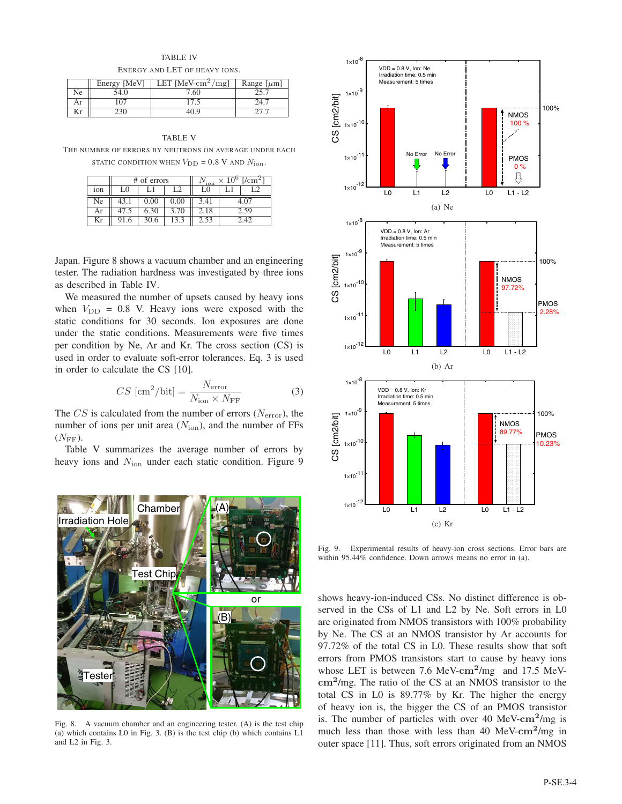TABLE IV ENERGY AND LET OF HEAVY IONS.

|    | Energy [MeV] | LET [MeV-cm <sup>2</sup> /mg] | Range $[\mu m]$ |
|----|--------------|-------------------------------|-----------------|
| Ne | 54.0         | 7.60                          |                 |
| Ar | 107          |                               | 24.             |
| Kr |              | 40.9                          |                 |

TABLE V

THE NUMBER OF ERRORS BY NEUTRONS ON AVERAGE UNDER EACH STATIC CONDITION WHEN  $V_{\text{DD}} = 0.8$  V AND  $N_{\text{ion}}$ .

|     | # of errors |      |      | ion  |      | $\times$ 10 <sup>6</sup> [/cm <sup>2</sup> ] |
|-----|-------------|------|------|------|------|----------------------------------------------|
| ion | L0          |      |      | L0   |      |                                              |
| Ne  |             | 0.00 | 0.00 | 3.41 |      | 1 O7                                         |
| Ar  |             | 6.30 | 3.70 | 2.18 | 2.59 |                                              |
| Kr  |             | 30.6 | 13.3 |      | 2.42 |                                              |

Japan. Figure 8 shows a vacuum chamber and an engineering tester. The radiation hardness was investigated by three ions as described in Table IV.

We measured the number of upsets caused by heavy ions when  $V_{\text{DD}} = 0.8$  V. Heavy ions were exposed with the static conditions for 30 seconds. Ion exposures are done under the static conditions. Measurements were five times per condition by Ne, Ar and Kr. The cross section (CS) is used in order to evaluate soft-error tolerances. Eq. 3 is used in order to calculate the CS [10].

$$
CS\,\left[\text{cm}^2/\text{bit}\right] = \frac{N_{\text{error}}}{N_{\text{ion}} \times N_{\text{FF}}}
$$
\n(3)

The  $CS$  is calculated from the number of errors ( $N<sub>error</sub>$ ), the number of ions per unit area  $(N_{\text{ion}})$ , and the number of FFs  $(N_{\text{FF}})$ .

Table V summarizes the average number of errors by heavy ions and  $N_{\text{ion}}$  under each static condition. Figure 9



Fig. 8. A vacuum chamber and an engineering tester. (A) is the test chip (a) which contains L0 in Fig. 3. (B) is the test chip (b) which contains L1 and L2 in Fig. 3.



Fig. 9. Experimental results of heavy-ion cross sections. Error bars are within 95.44% confidence. Down arrows means no error in (a).

shows heavy-ion-induced CSs. No distinct difference is observed in the CSs of L1 and L2 by Ne. Soft errors in L0 are originated from NMOS transistors with 100% probability by Ne. The CS at an NMOS transistor by Ar accounts for 97.72% of the total CS in L0. These results show that soft errors from PMOS transistors start to cause by heavy ions whose LET is between 7.6 MeV-**cm<sup>2</sup>**/mg and 17.5 MeV**cm<sup>2</sup>**/mg. The ratio of the CS at an NMOS transistor to the total CS in L0 is 89.77% by Kr. The higher the energy of heavy ion is, the bigger the CS of an PMOS transistor is. The number of particles with over 40 MeV-**cm<sup>2</sup>**/mg is much less than those with less than 40 MeV-**cm<sup>2</sup>**/mg in outer space [11]. Thus, soft errors originated from an NMOS